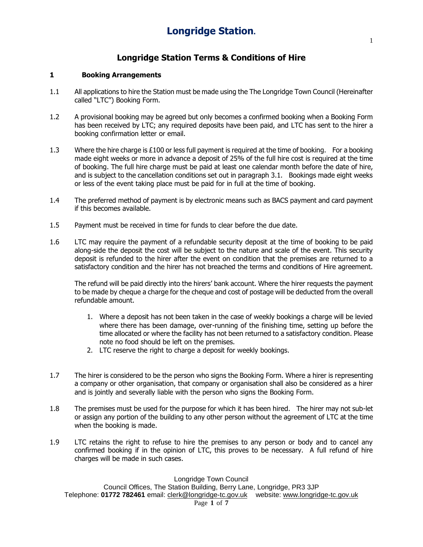## **Longridge Station Terms & Conditions of Hire**

#### **1 Booking Arrangements**

- 1.1 All applications to hire the Station must be made using the The Longridge Town Council (Hereinafter called "LTC") Booking Form.
- 1.2 A provisional booking may be agreed but only becomes a confirmed booking when a Booking Form has been received by LTC; any required deposits have been paid, and LTC has sent to the hirer a booking confirmation letter or email.
- 1.3 Where the hire charge is £100 or less full payment is required at the time of booking. For a booking made eight weeks or more in advance a deposit of 25% of the full hire cost is required at the time of booking. The full hire charge must be paid at least one calendar month before the date of hire, and is subject to the cancellation conditions set out in paragraph 3.1. Bookings made eight weeks or less of the event taking place must be paid for in full at the time of booking.
- 1.4 The preferred method of payment is by electronic means such as BACS payment and card payment if this becomes available.
- 1.5 Payment must be received in time for funds to clear before the due date.
- 1.6 LTC may require the payment of a refundable security deposit at the time of booking to be paid along-side the deposit the cost will be subject to the nature and scale of the event. This security deposit is refunded to the hirer after the event on condition that the premises are returned to a satisfactory condition and the hirer has not breached the terms and conditions of Hire agreement.

The refund will be paid directly into the hirers' bank account. Where the hirer requests the payment to be made by cheque a charge for the cheque and cost of postage will be deducted from the overall refundable amount.

- 1. Where a deposit has not been taken in the case of weekly bookings a charge will be levied where there has been damage, over-running of the finishing time, setting up before the time allocated or where the facility has not been returned to a satisfactory condition. Please note no food should be left on the premises.
- 2. LTC reserve the right to charge a deposit for weekly bookings.
- 1.7 The hirer is considered to be the person who signs the Booking Form. Where a hirer is representing a company or other organisation, that company or organisation shall also be considered as a hirer and is jointly and severally liable with the person who signs the Booking Form.
- 1.8 The premises must be used for the purpose for which it has been hired. The hirer may not sub-let or assign any portion of the building to any other person without the agreement of LTC at the time when the booking is made.
- 1.9 LTC retains the right to refuse to hire the premises to any person or body and to cancel any confirmed booking if in the opinion of LTC, this proves to be necessary. A full refund of hire charges will be made in such cases.

Longridge Town Council

Council Offices, The Station Building, Berry Lane, Longridge, PR3 3JP Telephone: **01772 782461** email: [clerk@longridge-tc.gov.uk](http://h/) website[: www.longridge-tc.gov.uk](http://h/)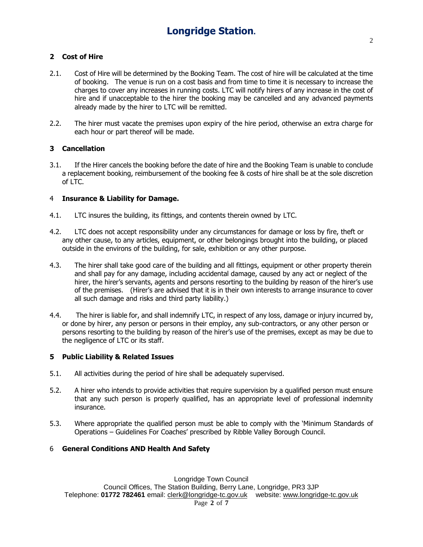## **2 Cost of Hire**

- 2.1. Cost of Hire will be determined by the Booking Team. The cost of hire will be calculated at the time of booking. The venue is run on a cost basis and from time to time it is necessary to increase the charges to cover any increases in running costs. LTC will notify hirers of any increase in the cost of hire and if unacceptable to the hirer the booking may be cancelled and any advanced payments already made by the hirer to LTC will be remitted.
- 2.2. The hirer must vacate the premises upon expiry of the hire period, otherwise an extra charge for each hour or part thereof will be made.

#### **3 Cancellation**

3.1. If the Hirer cancels the booking before the date of hire and the Booking Team is unable to conclude a replacement booking, reimbursement of the booking fee & costs of hire shall be at the sole discretion of LTC.

#### 4 **Insurance & Liability for Damage.**

- 4.1. LTC insures the building, its fittings, and contents therein owned by LTC.
- 4.2. LTC does not accept responsibility under any circumstances for damage or loss by fire, theft or any other cause, to any articles, equipment, or other belongings brought into the building, or placed outside in the environs of the building, for sale, exhibition or any other purpose.
- 4.3. The hirer shall take good care of the building and all fittings, equipment or other property therein and shall pay for any damage, including accidental damage, caused by any act or neglect of the hirer, the hirer's servants, agents and persons resorting to the building by reason of the hirer's use of the premises. (Hirer's are advised that it is in their own interests to arrange insurance to cover all such damage and risks and third party liability.)
- 4.4. The hirer is liable for, and shall indemnify LTC, in respect of any loss, damage or injury incurred by, or done by hirer, any person or persons in their employ, any sub-contractors, or any other person or persons resorting to the building by reason of the hirer's use of the premises, except as may be due to the negligence of LTC or its staff.

#### **5 Public Liability & Related Issues**

- 5.1. All activities during the period of hire shall be adequately supervised.
- 5.2. A hirer who intends to provide activities that require supervision by a qualified person must ensure that any such person is properly qualified, has an appropriate level of professional indemnity insurance.
- 5.3. Where appropriate the qualified person must be able to comply with the 'Minimum Standards of Operations – Guidelines For Coaches' prescribed by Ribble Valley Borough Council.

#### 6 **General Conditions AND Health And Safety**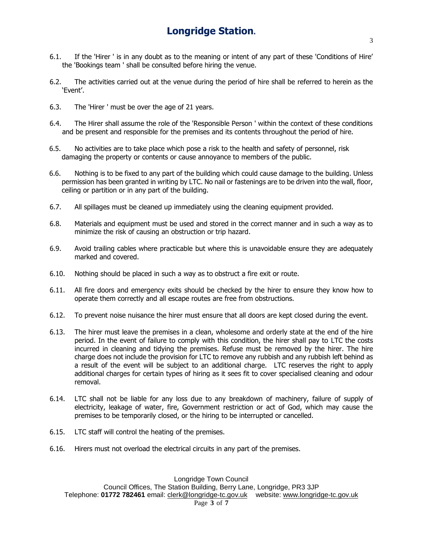- 6.1. If the 'Hirer ' is in any doubt as to the meaning or intent of any part of these 'Conditions of Hire' the 'Bookings team ' shall be consulted before hiring the venue.
- 6.2. The activities carried out at the venue during the period of hire shall be referred to herein as the 'Event'.
- 6.3. The 'Hirer ' must be over the age of 21 years.
- 6.4. The Hirer shall assume the role of the 'Responsible Person ' within the context of these conditions and be present and responsible for the premises and its contents throughout the period of hire.
- 6.5. No activities are to take place which pose a risk to the health and safety of personnel, risk damaging the property or contents or cause annoyance to members of the public.
- 6.6. Nothing is to be fixed to any part of the building which could cause damage to the building. Unless permission has been granted in writing by LTC. No nail or fastenings are to be driven into the wall, floor, ceiling or partition or in any part of the building.
- 6.7. All spillages must be cleaned up immediately using the cleaning equipment provided.
- 6.8. Materials and equipment must be used and stored in the correct manner and in such a way as to minimize the risk of causing an obstruction or trip hazard.
- 6.9. Avoid trailing cables where practicable but where this is unavoidable ensure they are adequately marked and covered.
- 6.10. Nothing should be placed in such a way as to obstruct a fire exit or route.
- 6.11. All fire doors and emergency exits should be checked by the hirer to ensure they know how to operate them correctly and all escape routes are free from obstructions.
- 6.12. To prevent noise nuisance the hirer must ensure that all doors are kept closed during the event.
- 6.13. The hirer must leave the premises in a clean, wholesome and orderly state at the end of the hire period. In the event of failure to comply with this condition, the hirer shall pay to LTC the costs incurred in cleaning and tidying the premises. Refuse must be removed by the hirer. The hire charge does not include the provision for LTC to remove any rubbish and any rubbish left behind as a result of the event will be subject to an additional charge. LTC reserves the right to apply additional charges for certain types of hiring as it sees fit to cover specialised cleaning and odour removal.
- 6.14. LTC shall not be liable for any loss due to any breakdown of machinery, failure of supply of electricity, leakage of water, fire, Government restriction or act of God, which may cause the premises to be temporarily closed, or the hiring to be interrupted or cancelled.
- 6.15. LTC staff will control the heating of the premises.
- 6.16. Hirers must not overload the electrical circuits in any part of the premises.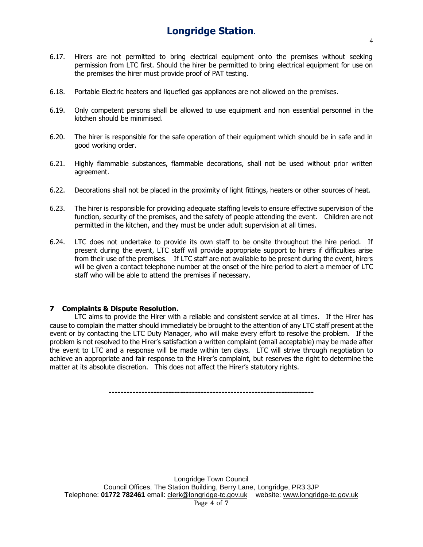- 6.17. Hirers are not permitted to bring electrical equipment onto the premises without seeking permission from LTC first. Should the hirer be permitted to bring electrical equipment for use on the premises the hirer must provide proof of PAT testing.
- 6.18. Portable Electric heaters and liquefied gas appliances are not allowed on the premises.
- 6.19. Only competent persons shall be allowed to use equipment and non essential personnel in the kitchen should be minimised.
- 6.20. The hirer is responsible for the safe operation of their equipment which should be in safe and in good working order.
- 6.21. Highly flammable substances, flammable decorations, shall not be used without prior written agreement.
- 6.22. Decorations shall not be placed in the proximity of light fittings, heaters or other sources of heat.
- 6.23. The hirer is responsible for providing adequate staffing levels to ensure effective supervision of the function, security of the premises, and the safety of people attending the event. Children are not permitted in the kitchen, and they must be under adult supervision at all times.
- 6.24. LTC does not undertake to provide its own staff to be onsite throughout the hire period. If present during the event, LTC staff will provide appropriate support to hirers if difficulties arise from their use of the premises. If LTC staff are not available to be present during the event, hirers will be given a contact telephone number at the onset of the hire period to alert a member of LTC staff who will be able to attend the premises if necessary.

#### **7 Complaints & Dispute Resolution.**

LTC aims to provide the Hirer with a reliable and consistent service at all times. If the Hirer has cause to complain the matter should immediately be brought to the attention of any LTC staff present at the event or by contacting the LTC Duty Manager, who will make every effort to resolve the problem. If the problem is not resolved to the Hirer's satisfaction a written complaint (email acceptable) may be made after the event to LTC and a response will be made within ten days. LTC will strive through negotiation to achieve an appropriate and fair response to the Hirer's complaint, but reserves the right to determine the matter at its absolute discretion. This does not affect the Hirer's statutory rights.

**---------------------------------------------------------------------**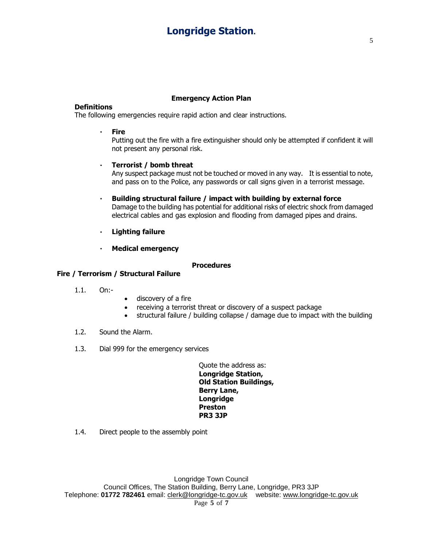#### **Emergency Action Plan**

#### **Definitions**

The following emergencies require rapid action and clear instructions.

#### **Fire**

Putting out the fire with a fire extinguisher should only be attempted if confident it will not present any personal risk.

#### $\mathbf{r}$ **Terrorist / bomb threat**

Any suspect package must not be touched or moved in any way. It is essential to note, and pass on to the Police, any passwords or call signs given in a terrorist message.

- **Building structural failure / impact with building by external force**  $\mathbf{r}$ Damage to the building has potential for additional risks of electric shock from damaged electrical cables and gas explosion and flooding from damaged pipes and drains.
- **Lighting failure**  $\mathbf{r} = \mathbf{r}$
- $\mathbf{r}$ **Medical emergency**

#### **Procedures**

## **Fire / Terrorism / Structural Failure**

- 1.1. On:-
- discovery of a fire
- receiving a terrorist threat or discovery of a suspect package
- structural failure / building collapse / damage due to impact with the building
- 1.2. Sound the Alarm.
- 1.3. Dial 999 for the emergency services

Quote the address as: **Longridge Station, Old Station Buildings, Berry Lane, Longridge Preston PR3 3JP**

1.4. Direct people to the assembly point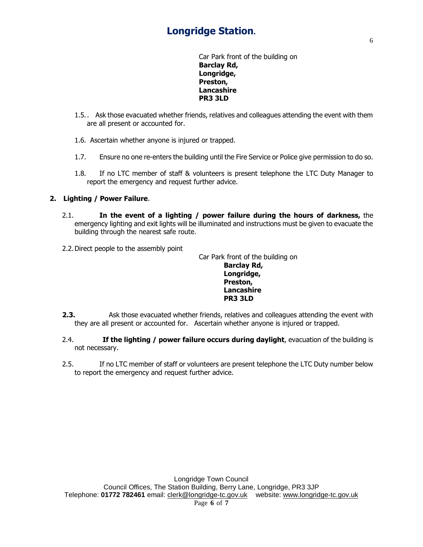Car Park front of the building on **Barclay Rd, Longridge, Preston, Lancashire PR3 3LD**

- 1.5.. Ask those evacuated whether friends, relatives and colleagues attending the event with them are all present or accounted for.
- 1.6. Ascertain whether anyone is injured or trapped.
- 1.7. Ensure no one re-enters the building until the Fire Service or Police give permission to do so.
- 1.8. If no LTC member of staff & volunteers is present telephone the LTC Duty Manager to report the emergency and request further advice.

## **2. Lighting / Power Failure**.

- 2.1. **In the event of a lighting / power failure during the hours of darkness,** the emergency lighting and exit lights will be illuminated and instructions must be given to evacuate the building through the nearest safe route.
- 2.2.Direct people to the assembly point

Car Park front of the building on **Barclay Rd, Longridge, Preston, Lancashire PR3 3LD**

- **2.3.** Ask those evacuated whether friends, relatives and colleagues attending the event with they are all present or accounted for. Ascertain whether anyone is injured or trapped.
- 2.4. **If the lighting / power failure occurs during daylight**, evacuation of the building is not necessary.
- 2.5. If no LTC member of staff or volunteers are present telephone the LTC Duty number below to report the emergency and request further advice.